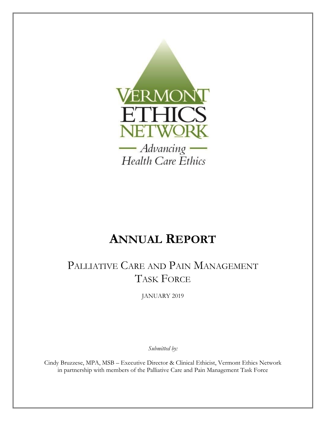

# **ANNUAL REPORT**

# PALLIATIVE CARE AND PAIN MANAGEMENT TASK FORCE

JANUARY 2019

*Submitted by:* 

Cindy Bruzzese, MPA, MSB – Executive Director & Clinical Ethicist, Vermont Ethics Network in partnership with members of the Palliative Care and Pain Management Task Force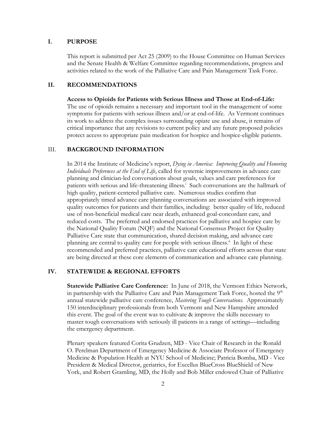#### **I. PURPOSE**

This report is submitted per Act 25 (2009) to the House Committee on Human Services and the Senate Health & Welfare Committee regarding recommendations, progress and activities related to the work of the Palliative Care and Pain Management Task Force.

## **II. RECOMMENDATIONS**

**Access to Opioids for Patients with Serious Illness and Those at End-of-Life:**  The use of opioids remains a necessary and important tool in the management of some symptoms for patients with serious illness and/or at end-of-life. As Vermont continues its work to address the complex issues surrounding opiate use and abuse, it remains of critical importance that any revisions to current policy and any future proposed policies protect access to appropriate pain medication for hospice and hospice-eligible patients.

### III. **BACKGROUND INFORMATION**

In 2014 the Institute of Medicine's report, *Dying in America: Improving Quality and Honoring Individuals Preferences at the End of Life*, called for systemic improvements in advance care planning and clinician-led conversations about goals, values and care preferences for patients with serious and life-threatening illness.<sup>i</sup> Such conversations are the hallmark of high quality, patient-centered palliative care. Numerous studies confirm that appropriately timed advance care planning conversations are associated with improved quality outcomes for patients and their families, including: better quality of life, reduced use of non-beneficial medical care near death, enhanced goal-concordant care, and reduced costs. The preferred and endorsed practices for palliative and hospice care by the National Quality Forum (NQF) and the National Consensus Project for Quality Palliative Care state that communication, shared decision making, and advance care planning are central to quality care for people with serious illness.<sup>ii</sup> In light of these recommended and preferred practices, palliative care educational efforts across that state are being directed at these core elements of communication and advance care planning.

#### **IV. STATEWIDE & REGIONAL EFFORTS**

**Statewide Palliative Care Conference:** In June of 2018, the Vermont Ethics Network, in partnership with the Palliative Care and Pain Management Task Force, hosted the  $9^{\text{th}}$ annual statewide palliative care conference, *Mastering Tough Conversations.* Approximately 150 interdisciplinary professionals from both Vermont and New Hampshire attended this event. The goal of the event was to cultivate & improve the skills necessary to master tough conversations with seriously ill patients in a range of settings—including the emergency department.

Plenary speakers featured Corita Grudzen, MD - Vice Chair of Research in the Ronald O. Perelman Department of Emergency Medicine & Associate Professor of Emergency Medicine & Population Health at NYU School of Medicine; Patricia Bomba, MD - Vice President & Medical Director, geriatrics, for Excellus BlueCross BlueShield of New York, and Robert Gramling, MD, the Holly and Bob Miller endowed Chair of Palliative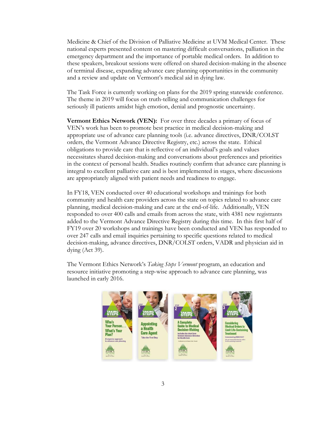Medicine & Chief of the Division of Palliative Medicine at UVM Medical Center. These national experts presented content on mastering difficult conversations, palliation in the emergency department and the importance of portable medical orders. In addition to these speakers, breakout sessions were offered on shared decision-making in the absence of terminal disease, expanding advance care planning opportunities in the community and a review and update on Vermont's medical aid in dying law.

The Task Force is currently working on plans for the 2019 spring statewide conference. The theme in 2019 will focus on truth-telling and communication challenges for seriously ill patients amidst high emotion, denial and prognostic uncertainty.

**Vermont Ethics Network (VEN):** For over three decades a primary of focus of VEN's work has been to promote best practice in medical decision-making and appropriate use of advance care planning tools (i.e. advance directives, DNR/COLST orders, the Vermont Advance Directive Registry, etc.) across the state. Ethical obligations to provide care that is reflective of an individual's goals and values necessitates shared decision-making and conversations about preferences and priorities in the context of personal health. Studies routinely confirm that advance care planning is integral to excellent palliative care and is best implemented in stages, where discussions are appropriately aligned with patient needs and readiness to engage.

In FY18, VEN conducted over 40 educational workshops and trainings for both community and health care providers across the state on topics related to advance care planning, medical decision-making and care at the end-of-life. Additionally, VEN responded to over 400 calls and emails from across the state, with 4381 new registrants added to the Vermont Advance Directive Registry during this time. In this first half of FY19 over 20 workshops and trainings have been conducted and VEN has responded to over 247 calls and email inquiries pertaining to specific questions related to medical decision-making, advance directives, DNR/COLST orders, VADR and physician aid in dying (Act 39).

The Vermont Ethics Network's *Taking Steps Vermont* program, an education and resource initiative promoting a step-wise approach to advance care planning, was launched in early 2016.

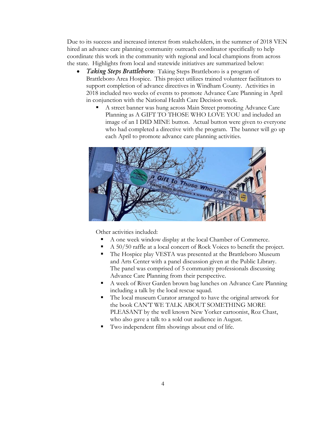Due to its success and increased interest from stakeholders, in the summer of 2018 VEN hired an advance care planning community outreach coordinator specifically to help coordinate this work in the community with regional and local champions from across the state. Highlights from local and statewide initiatives are summarized below:

- *Taking Steps Brattleboro*: Taking Steps Brattleboro is a program of Brattleboro Area Hospice. This project utilizes trained volunteer facilitators to support completion of advance directives in Windham County. Activities in 2018 included two weeks of events to promote Advance Care Planning in April in conjunction with the National Health Care Decision week.
	- A street banner was hung across Main Street promoting Advance Care Planning as A GIFT TO THOSE WHO LOVE YOU and included an image of an I DID MINE button. Actual button were given to everyone who had completed a directive with the program. The banner will go up each April to promote advance care planning activities.



Other activities included:

- A one week window display at the local Chamber of Commerce.
- A 50/50 raffle at a local concert of Rock Voices to benefit the project.
- The Hospice play VESTA was presented at the Brattleboro Museum and Arts Center with a panel discussion given at the Public Library. The panel was comprised of 5 community professionals discussing Advance Care Planning from their perspective.
- A week of River Garden brown bag lunches on Advance Care Planning including a talk by the local rescue squad.
- The local museum Curator arranged to have the original artwork for the book CAN'T WE TALK ABOUT SOMETHING MORE PLEASANT by the well known New Yorker cartoonist, Roz Chast, who also gave a talk to a sold out audience in August.
- Two independent film showings about end of life.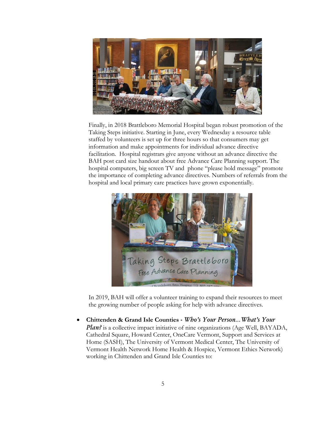

Finally, in 2018 Brattleboro Memorial Hospital began robust promotion of the Taking Steps initiative. Starting in June, every Wednesday a resource table staffed by volunteers is set up for three hours so that consumers may get information and make appointments for individual advance directive facilitation. Hospital registrars give anyone without an advance directive the BAH post card size handout about free Advance Care Planning support. The hospital computers, big screen TV and phone "please hold message" promote the importance of completing advance directives. Numbers of referrals from the hospital and local primary care practices have grown exponentially.



In 2019, BAH will offer a volunteer training to expand their resources to meet the growing number of people asking for help with advance directives.

 **Chittenden & Grand Isle Counties** *- Who's Your Person…What's Your Plan?* is a collective impact initiative of nine organizations (Age Well, BAYADA, Cathedral Square, Howard Center, OneCare Vermont, Support and Services at Home (SASH), The University of Vermont Medical Center, The University of Vermont Health Network Home Health & Hospice, Vermont Ethics Network) working in Chittenden and Grand Isle Counties to: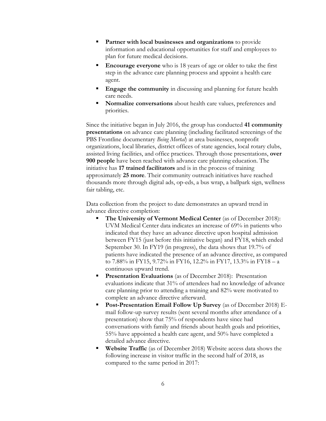- **Partner with local businesses and organizations** to provide information and educational opportunities for staff and employees to plan for future medical decisions.
- **Encourage everyone** who is 18 years of age or older to take the first step in the advance care planning process and appoint a health care agent.
- **Engage the community** in discussing and planning for future health care needs.
- **Normalize conversations** about health care values, preferences and priorities.

Since the initiative began in July 2016, the group has conducted **41 community presentations** on advance care planning (including facilitated screenings of the PBS Frontline documentary *Being Mortal*) at area businesses, nonprofit organizations, local libraries, district offices of state agencies, local rotary clubs, assisted living facilities, and office practices. Through those presentations, **over 900 people** have been reached with advance care planning education. The initiative has **17 trained facilitators** and is in the process of training approximately **25 more**. Their community outreach initiatives have reached thousands more through digital ads, op-eds, a bus wrap, a ballpark sign, wellness fair tabling, etc.

Data collection from the project to date demonstrates an upward trend in advance directive completion:

- **The University of Vermont Medical Center** (as of December 2018): UVM Medical Center data indicates an increase of 69% in patients who indicated that they have an advance directive upon hospital admission between FY15 (just before this initiative began) and FY18, which ended September 30. In FY19 (in progress), the data shows that 19.7% of patients have indicated the presence of an advance directive, as compared to 7.88% in FY15, 9.72% in FY16, 12.2% in FY17, 13.3% in FY18 – a continuous upward trend.
- **Presentation Evaluations** (as of December 2018): Presentation evaluations indicate that 31% of attendees had no knowledge of advance care planning prior to attending a training and 82% were motivated to complete an advance directive afterward.
- **Post-Presentation Email Follow Up Survey** (as of December 2018) Email follow-up survey results (sent several months after attendance of a presentation) show that 75% of respondents have since had conversations with family and friends about health goals and priorities, 55% have appointed a health care agent, and 50% have completed a detailed advance directive.
- **Website Traffic** (as of December 2018) Website access data shows the following increase in visitor traffic in the second half of 2018, as compared to the same period in 2017: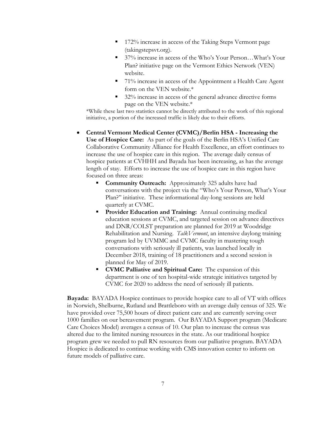- 172% increase in access of the Taking Steps Vermont page (takingstepsvt.org).
- 37% increase in access of the Who's Your Person...What's Your Plan? initiative page on the Vermont Ethics Network (VEN) website.
- 71% increase in access of the Appointment a Health Care Agent form on the VEN website.\*
- 32% increase in access of the general advance directive forms page on the VEN website.\*

\*While these last two statistics cannot be directly attributed to the work of this regional initiative, a portion of the increased traffic is likely due to their efforts.

- **Central Vermont Medical Center (CVMC)/Berlin HSA - Increasing the Use of Hospice Care:** As part of the goals of the Berlin HSA's Unified Care Collaborative Community Alliance for Health Excellence, an effort continues to increase the use of hospice care in this region. The average daily census of hospice patients at CVHHH and Bayada has been increasing, as has the average length of stay. Efforts to increase the use of hospice care in this region have focused on three areas:
	- **Community Outreach:** Approximately 325 adults have had conversations with the project via the "Who's Your Person, What's Your Plan?" initiative. These informational day-long sessions are held quarterly at CVMC.
	- **Provider Education and Training:** Annual continuing medical education sessions at CVMC, and targeted session on advance directives and DNR/COLST preparation are planned for 2019 at Woodridge Rehabilitation and Nursing. *TalkVermont*, an intensive daylong training program led by UVMMC and CVMC faculty in mastering tough conversations with seriously ill patients, was launched locally in December 2018, training of 18 practitioners and a second session is planned for May of 2019.
	- **CVMC Palliative and Spiritual Care:** The expansion of this department is one of ten hospital-wide strategic initiatives targeted by CVMC for 2020 to address the need of seriously ill patients.

**Bayada:** BAYADA Hospice continues to provide hospice care to all of VT with offices in Norwich, Shelburne, Rutland and Brattleboro with an average daily census of 325. We have provided over 75,500 hours of direct patient care and are currently serving over 1000 families on our bereavement program. Our BAYADA Support program (Medicare Care Choices Model) averages a census of 10. Our plan to increase the census was altered due to the limited nursing resources in the state. As our traditional hospice program grew we needed to pull RN resources from our palliative program. BAYADA Hospice is dedicated to continue working with CMS innovation center to inform on future models of palliative care.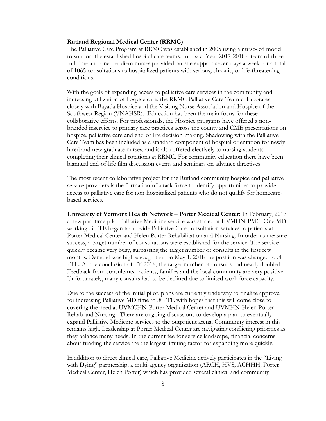#### **Rutland Regional Medical Center (RRMC)**

The Palliative Care Program at RRMC was established in 2005 using a nurse-led model to support the established hospital care teams. In Fiscal Year 2017-2018 a team of three full-time and one per diem nurses provided on-site support seven days a week for a total of 1065 consultations to hospitalized patients with serious, chronic, or life-threatening conditions.

With the goals of expanding access to palliative care services in the community and increasing utilization of hospice care, the RRMC Palliative Care Team collaborates closely with Bayada Hospice and the Visiting Nurse Association and Hospice of the Southwest Region (VNAHSR). Education has been the main focus for these collaborative efforts. For professionals, the Hospice programs have offered a nonbranded inservice to primary care practices across the county and CME presentations on hospice, palliative care and end-of-life decision-making. Shadowing with the Palliative Care Team has been included as a standard component of hospital orientation for newly hired and new graduate nurses, and is also offered electively to nursing students completing their clinical rotations at RRMC. For community education there have been biannual end-of-life film discussion events and seminars on advance directives.

The most recent collaborative project for the Rutland community hospice and palliative service providers is the formation of a task force to identify opportunities to provide access to palliative care for non-hospitalized patients who do not qualify for homecarebased services.

**University of Vermont Health Network – Porter Medical Center:** In February, 2017 a new part time pilot Palliative Medicine service was started at UVMHN-PMC. One MD working .3 FTE began to provide Palliative Care consultation services to patients at Porter Medical Center and Helen Porter Rehabilitation and Nursing. In order to measure success, a target number of consultations were established for the service. The service quickly became very busy, surpassing the target number of consults in the first few months. Demand was high enough that on May 1, 2018 the position was changed to .4 FTE. At the conclusion of FY 2018, the target number of consults had nearly doubled. Feedback from consultants, patients, families and the local community are very positive. Unfortunately, many consults had to be declined due to limited work force capacity.

Due to the success of the initial pilot, plans are currently underway to finalize approval for increasing Palliative MD time to .8 FTE with hopes that this will come close to covering the need at UVMCHN-Porter Medical Center and UVMHN-Helen Porter Rehab and Nursing. There are ongoing discussions to develop a plan to eventually expand Palliative Medicine services to the outpatient arena. Community interest in this remains high. Leadership at Porter Medical Center are navigating conflicting priorities as they balance many needs. In the current fee for service landscape, financial concerns about funding the service are the largest limiting factor for expanding more quickly.

In addition to direct clinical care, Palliative Medicine actively participates in the "Living with Dying" partnership; a multi-agency organization (ARCH, HVS, ACHHH, Porter Medical Center, Helen Porter) which has provided several clinical and community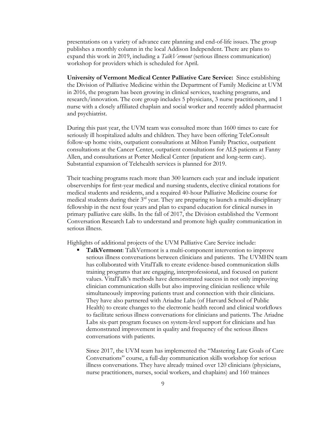presentations on a variety of advance care planning and end-of-life issues. The group publishes a monthly column in the local Addison Independent. There are plans to expand this work in 2019, including a *TalkVermont* (serious illness communication) workshop for providers which is scheduled for April.

**University of Vermont Medical Center Palliative Care Service:** Since establishing the Division of Palliative Medicine within the Department of Family Medicine at UVM in 2016, the program has been growing in clinical services, teaching programs, and research/innovation. The core group includes 5 physicians, 3 nurse practitioners, and 1 nurse with a closely affiliated chaplain and social worker and recently added pharmacist and psychiatrist.

During this past year, the UVM team was consulted more than 1600 times to care for seriously ill hospitalized adults and children. They have been offering TeleConsult follow-up home visits, outpatient consultations at Milton Family Practice, outpatient consultations at the Cancer Center, outpatient consultations for ALS patients at Fanny Allen, and consultations at Porter Medical Center (inpatient and long-term care). Substantial expansion of Telehealth services is planned for 2019.

Their teaching programs reach more than 300 learners each year and include inpatient observerships for first-year medical and nursing students, elective clinical rotations for medical students and residents, and a required 40-hour Palliative Medicine course for medical students during their  $3<sup>rd</sup>$  year. They are preparing to launch a multi-disciplinary fellowship in the next four years and plan to expand education for clinical nurses in primary palliative care skills. In the fall of 2017, the Division established the Vermont Conversation Research Lab to understand and promote high quality communication in serious illness.

Highlights of additional projects of the UVM Palliative Care Service include:

 **TalkVermont**: TalkVermont is a multi-component intervention to improve serious illness conversations between clinicians and patients. The UVMHN team has collaborated with VitalTalk to create evidence-based communication skills training programs that are engaging, interprofessional, and focused on patient values. VitalTalk's methods have demonstrated success in not only improving clinician communication skills but also improving clinician resilience while simultaneously improving patients trust and connection with their clinicians. They have also partnered with Ariadne Labs (of Harvard School of Public Health) to create changes to the electronic health record and clinical workflows to facilitate serious illness conversations for clinicians and patients. The Ariadne Labs six-part program focuses on system-level support for clinicians and has demonstrated improvement in quality and frequency of the serious illness conversations with patients.

Since 2017, the UVM team has implemented the "Mastering Late Goals of Care Conversations" course, a full-day communication skills workshop for serious illness conversations. They have already trained over 120 clinicians (physicians, nurse practitioners, nurses, social workers, and chaplains) and 160 trainees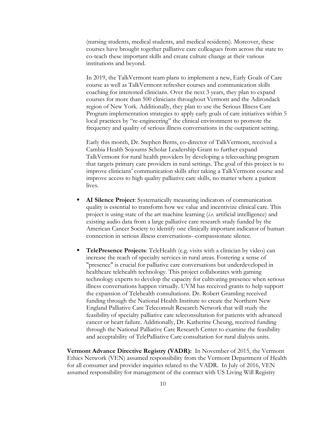(nursing students, medical students, and medical residents). Moreover, these courses have brought together palliative care colleagues from across the state to co-teach these important skills and create culture change at their various institutions and beyond.

In 2019, the TalkVermont team plans to implement a new, Early Goals of Care course as well as TalkVermont refresher courses and communication skills coaching for interested clinicians. Over the next 3 years, they plan to expand courses for more than 500 clinicians throughout Vermont and the Adirondack region of New York. Additionally, they plan to use the Serious Illness Care Program implementation strategies to apply early goals of care initiatives within 5 local practices by "re-engineering" the clinical environment to promote the frequency and quality of serious illness conversations in the outpatient setting.

Early this month, Dr. Stephen Berns, co-director of TalkVermont, received a Cambia Health Sojourns Scholar Leadership Grant to further expand TalkVermont for rural health providers by developing a telecoaching program that targets primary care providers in rural settings. The goal of this project is to improve clinicians' communication skills after taking a TalkVermont course and improve access to high quality palliative care skills, no matter where a patient lives.

- **AI Silence Project**: Systematically measuring indicators of communication quality is essential to transform how we value and incentivize clinical care. This project is using state of the art machine learning (*i.e.* artificial intelligence) and existing audio data from a large palliative care research study funded by the American Cancer Society to identify one clinically important indicator of human connection in serious illness conversations--compassionate silence.
- **TelePresence Projects**: TeleHealth (e.g. visits with a clinician by video) can increase the reach of specialty services in rural areas. Fostering a sense of "presence" is crucial for palliative care conversations but underdeveloped in healthcare telehealth technology. This project collaborates with gaming technology experts to develop the capacity for cultivating presence when serious illness conversations happen virtually. UVM has received grants to help support the expansion of Telehealth consultations. Dr. Robert Gramling received funding through the National Health Institute to create the Northern New England Palliative Care Teleconsult Research Network that will study the feasibility of specialty palliative care teleconsultation for patients with advanced cancer or heart failure. Additionally, Dr. Katherine Cheung, received funding through the National Palliative Care Research Center to examine the feasibility and acceptability of TelePalliative Care consultation for rural dialysis units.

**Vermont Advance Directive Registry (VADR):** In November of 2015, the Vermont Ethics Network (VEN) assumed responsibility from the Vermont Department of Health for all consumer and provider inquiries related to the VADR. In July of 2016, VEN assumed responsibility for management of the contract with US Living Will Registry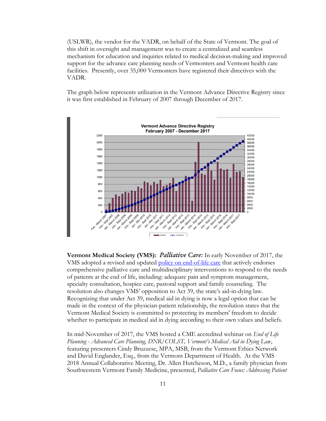(USLWR), the vendor for the VADR, on behalf of the State of Vermont. The goal of this shift in oversight and management was to create a centralized and seamless mechanism for education and inquiries related to medical decision-making and improved support for the advance care planning needs of Vermonters and Vermont health care facilities. Presently, over 35,000 Vermonters have registered their directives with the VADR.

The graph below represents utilization in the Vermont Advance Directive Registry since it was first established in February of 2007 through December of 2017.



**Vermont Medical Society (VMS):** *Palliative Care:* In early November of 2017, the VMS adopted a revised and updated [policy on end-of-life care](http://www.vtmd.org/sites/default/files/2017End-of-Life-Care.pdf) that actively endorses comprehensive palliative care and multidisciplinary interventions to respond to the needs of patients at the end of life, including: adequate pain and symptom management, specialty consultation, hospice care, pastoral support and family counseling. The resolution also changes VMS' opposition to Act 39, the state's aid-in-dying law. Recognizing that under Act 39, medical aid in dying is now a legal option that can be made in the context of the physician-patient relationship, the resolution states that the Vermont Medical Society is committed to protecting its members' freedom to decide whether to participate in medical aid in dying according to their own values and beliefs.

In mid-November of 2017, the VMS hosted a CME accredited webinar on *End of Life Planning - Advanced Care Planning, DNR/COLST, Vermont's Medical Aid in Dying Law*, featuring presenters Cindy Bruzzese, MPA, MSB, from the Vermont Ethics Network and David Englander, Esq., from the Vermont Department of Health. At the VMS 2018 Annual Collaborative Meeting, Dr. Allen Hutcheson, M.D., a family physician from Southwestern Vermont Family Medicine, presented, *Palliative Care Focus: Addressing Patient*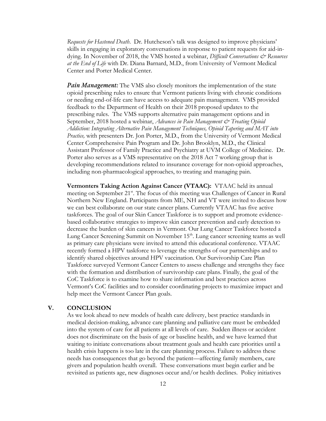*Requests for Hastened Death*. Dr. Hutcheson's talk was designed to improve physicians' skills in engaging in exploratory conversations in response to patient requests for aid-indying. In November of 2018, the VMS hosted a webinar, *Difficult Conversations & Resources at the End of Life* with Dr. Diana Barnard, M.D., from University of Vermont Medical Center and Porter Medical Center.

*Pain Management:* The VMS also closely monitors the implementation of the state opioid prescribing rules to ensure that Vermont patients living with chronic conditions or needing end-of-life care have access to adequate pain management. VMS provided feedback to the Department of Health on their 2018 proposed updates to the prescribing rules. The VMS supports alternative pain management options and in September, 2018 hosted a webinar, *Advances in Pain Management & Treating Opioid Addiction: Integrating Alternative Pain Management Techniques, Opioid Tapering and MAT into Practice,* with presenters Dr. Jon Porter, M.D., from the University of Vermont Medical Center Comprehensive Pain Program and Dr. John Brooklyn, M.D., the Clinical Assistant Professor of Family Practice and Psychiatry at UVM College of Medicine. Dr. Porter also serves as a VMS representative on the 2018 Act 7 working group that is developing recommendations related to insurance coverage for non-opioid approaches, including non-pharmacological approaches, to treating and managing pain.

**Vermonters Taking Action Against Cancer (VTAAC):** VTAAC held its annual meeting on September 21<sup>st</sup>. The focus of this meeting was Challenges of Cancer in Rural Northern New England. Participants from ME, NH and VT were invited to discuss how we can best collaborate on our state cancer plans. Currently VTAAC has five active taskforces. The goal of our Skin Cancer Taskforce is to support and promote evidencebased collaborative strategies to improve skin cancer prevention and early detection to decrease the burden of skin cancers in Vermont. Our Lung Cancer Taskforce hosted a Lung Cancer Screening Summit on November 15<sup>th</sup>. Lung cancer screening teams as well as primary care physicians were invited to attend this educational conference. VTAAC recently formed a HPV taskforce to leverage the strengths of our partnerships and to identify shared objectives around HPV vaccination. Our Survivorship Care Plan Taskforce surveyed Vermont Cancer Centers to assess challenge and strengths they face with the formation and distribution of survivorship care plans. Finally, the goal of the CoC Taskforce is to examine how to share information and best practices across Vermont's CoC facilities and to consider coordinating projects to maximize impact and help meet the Vermont Cancer Plan goals.

### **V. CONCLUSION**

As we look ahead to new models of health care delivery, best practice standards in medical decision-making, advance care planning and palliative care must be embedded into the system of care for all patients at all levels of care. Sudden illness or accident does not discriminate on the basis of age or baseline health, and we have learned that waiting to initiate conversations about treatment goals and health care priorities until a health crisis happens is too late in the care planning process. Failure to address these needs has consequences that go beyond the patient—affecting family members, care givers and population health overall. These conversations must begin earlier and be revisited as patients age, new diagnoses occur and/or health declines. Policy initiatives